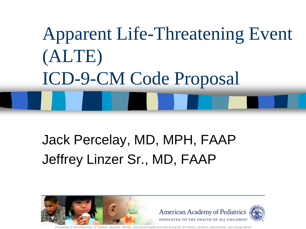# Apparent Life-Threatening Event (ALTE) ICD-9-CM Code Proposal

#### Jack Percelay, MD, MPH, FAAP Jeffrey Linzer Sr., MD, FAAP



nd well-being for all infants, children, adolescents, and young adults. nitted to the affainment of ontimal, physical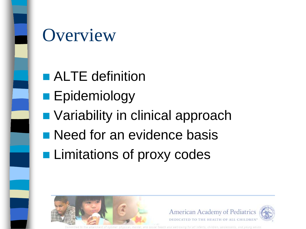

#### **Overview**

- **ALTE** definition
- **Epidemiology**
- Variability in clinical approach
- **Need for an evidence basis**
- **Limitations of proxy codes**

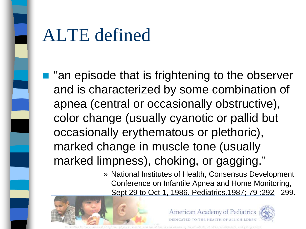

#### ALTE defined

- $\blacksquare$  "an episode that is frightening to the observer and is characterized by some combination of apnea (central or occasionally obstructive), color change (usually cyanotic or pallid but occasionally erythematous or plethoric), marked change in muscle tone (usually marked limpness), choking, or gagging."
	- » National Institutes of Health, Consensus Development Conference on Infantile Apnea and Home Monitoring, Sept 29 to Oct 1, 1986. Pediatrics.1987; 79 :292 –299.



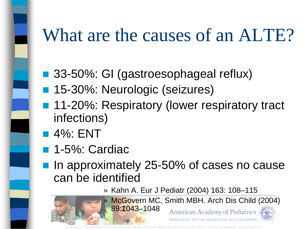### What are the causes of an ALTE?

- 33-50%: GI (gastroesophageal reflux)
- 15-30%: Neurologic (seizures)
- 11-20%: Respiratory (lower respiratory tract infections)
- **4%: ENT**
- 1-5%: Cardiac
- In approximately 25-50% of cases no cause can be identified
	- » Kahn A. Eur J Pediatr (2004) 163: 108–115

» McGovern MC, Smith MBH. Arch Dis Child (2004)



89:1043–1048American Academy of Pediatrics

Mbaina for all infants, children, adolescents, and vound adol

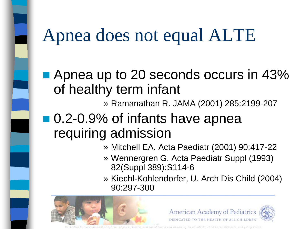#### Apnea does not equal ALTE

■ Apnea up to 20 seconds occurs in 43% of healthy term infant

» Ramanathan R. JAMA (2001) 285:2199-207

#### ■ 0.2-0.9% of infants have apnea requiring admission

- » Mitchell EA. Acta Paediatr (2001) 90:417-22
- » Wennergren G. Acta Paediatr Suppl (1993) 82(Suppl 389):S114-6
- » Kiechl-Kohlendorfer, U. Arch Dis Child (2004) 90:297-300





for all infants, children, adolescents, and voung adult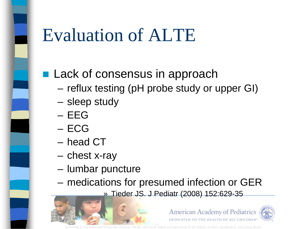#### Evaluation of ALTE

#### **Lack of consensus in approach**

- reflux testing (pH probe study or upper GI)
- sleep study
- EEG
- ECG
- head CT
- chest x-ray
- lumbar puncture
- medications for presumed infection or GER
	- » Tieder JS. J Pediatr (2008) 152:629-35



afanta childres adolezcents and unung adop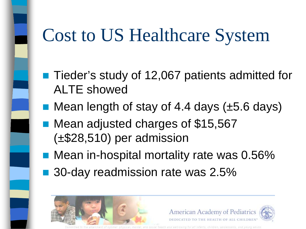#### Cost to US Healthcare System

- Tieder's study of 12,067 patients admitted for ALTE showed
- Mean length of stay of 4.4 days  $(\pm 5.6 \text{ days})$
- Mean adjusted charges of \$15,567 (±\$28,510) per admission
- Mean in-hospital mortality rate was 0.56%
- 30-day readmission rate was 2.5%



tfants, children anniexcents, and unung adop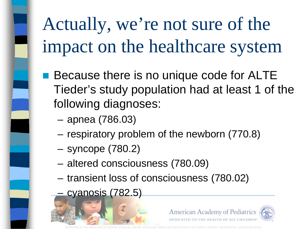# Actually, we're not sure of the impact on the healthcare system

- Because there is no unique code for ALTE Tieder's study population had at least 1 of the following diagnoses:
	- apnea (786.03)
	- respiratory problem of the newborn (770.8)
	- syncope (780.2)
	- altered consciousness (780.09)
	- transient loss of consciousness (780.02)
	- cyanosis (782.5)



afanta children adolezcents and vound adout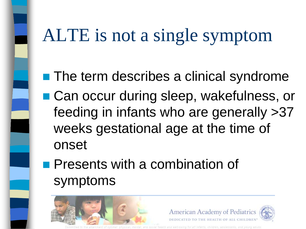#### ALTE is not a single symptom

- **The term describes a clinical syndrome**
- Can occur during sleep, wakefulness, or feeding in infants who are generally >37 weeks gestational age at the time of onset
- **Presents with a combination of** symptoms





法海洋反馈的条件 医血管周白血管周盘神经周二支神经 经再加利用 血管切除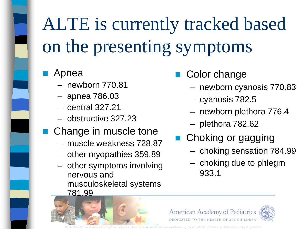# ALTE is currently tracked based on the presenting symptoms

- Apnea
	- newborn 770.81
	- apnea 786.03
	- central 327.21
	- obstructive 327.23
- Change in muscle tone
	- muscle weakness 728.87
	- other myopathies 359.89
	- other symptoms involving nervous and musculoskeletal systems 781.99
- Color change
	- newborn cyanosis 770.83
	- cyanosis 782.5
	- newborn plethora 776.4
	- plethora 782.62
- Choking or gagging
	- choking sensation 784.99
	- choking due to phlegm 933.1





for all infants, children, adolescents, and vound adults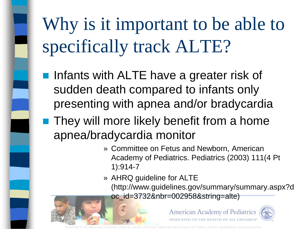# Why is it important to be able to specifically track ALTE?

- Infants with ALTE have a greater risk of sudden death compared to infants only presenting with apnea and/or bradycardia
- **They will more likely benefit from a home** apnea/bradycardia monitor
	- » Committee on Fetus and Newborn, American Academy of Pediatrics. Pediatrics (2003) 111(4 Pt 1):914-7
	- » AHRQ guideline for ALTE (http://www.guidelines.gov/summary/summary.aspx?d oc\_id=3732&nbr=002958&string=alte)





and well-being for all infants, children, adolescents, and young adults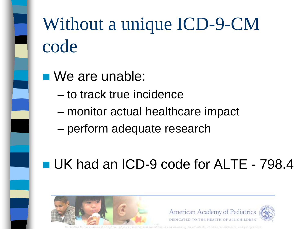# Without a unique ICD-9-CM code

- We are unable:
	- to track true incidence
	- monitor actual healthcare impact
	- perform adequate research

#### UK had an ICD-9 code for ALTE - 798.4



haibh for all infants, children, adolescents, and voune adolt.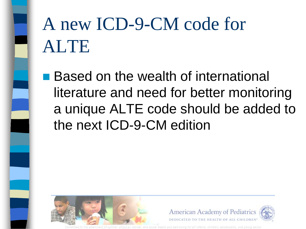# A new ICD-9-CM code for ALTE

■ Based on the wealth of international literature and need for better monitoring a unique ALTE code should be added to the next ICD-9-CM edition